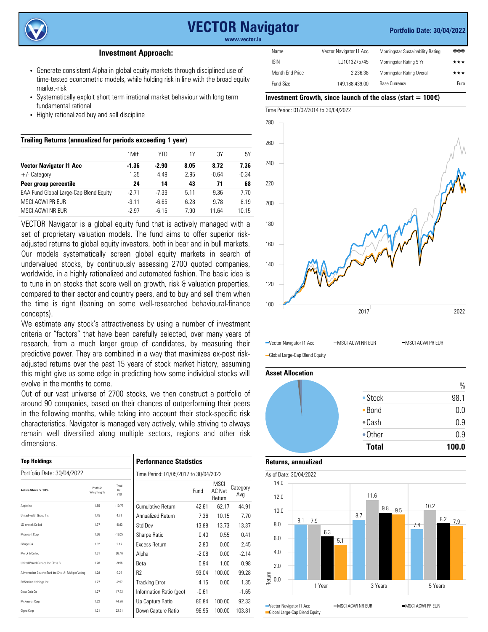

# **VECTOR Navigator**

#### **Portfolio Date: 30/04/2022**

**www.vector.lu**

### **Investment Approach:**

- Generate consistent Alpha in global equity markets through disciplined use of time-tested econometric models, while holding risk in line with the broad equity market-risk
- Systematically exploit short term irrational market behaviour with long term fundamental rational
- Highly rationalized buy and sell discipline

| Trailing Returns (annualized for periods exceeding 1 year) |         |         |      |         |         |  |  |  |  |  |
|------------------------------------------------------------|---------|---------|------|---------|---------|--|--|--|--|--|
|                                                            | 1Mth    | YTN     | 1Y   | ЗY      | 5Υ      |  |  |  |  |  |
| <b>Vector Navigator I1 Acc</b>                             | $-1.36$ | $-2.90$ | 8.05 | 8.72    | 7.36    |  |  |  |  |  |
| $+/-$ Category                                             | 1.35    | 4.49    | 2.95 | $-0.64$ | $-0.34$ |  |  |  |  |  |
| Peer group percentile                                      | 24      | 14      | 43   | 71      | 68      |  |  |  |  |  |
| EAA Fund Global Large-Cap Blend Equity                     | $-2.71$ | $-7.39$ | 5.11 | 9.36    | 7.70    |  |  |  |  |  |
| MSCI ACWI PR FUR                                           | $-3.11$ | $-6.65$ | 6.28 | 9.78    | 8.19    |  |  |  |  |  |
| MSCI ACWI NR FUR                                           | $-2.97$ | $-6.15$ | 7.90 | 11 64   | 10.15   |  |  |  |  |  |

VECTOR Navigator is a global equity fund that is actively managed with a set of proprietary valuation models. The fund aims to offer superior riskadjusted returns to global equity investors, both in bear and in bull markets. Our models systematically screen global equity markets in search of undervalued stocks, by continuously assessing 2700 quoted companies, worldwide, in a highly rationalized and automated fashion. The basic idea is to tune in on stocks that score well on growth, risk & valuation properties, compared to their sector and country peers, and to buy and sell them when the time is right (leaning on some well-researched behavioural-finance concepts).

We estimate any stock's attractiveness by using a number of investment criteria or "factors" that have been carefully selected, over many years of research, from a much larger group of candidates, by measuring their predictive power. They are combined in a way that maximizes ex-post riskadjusted returns over the past 15 years of stock market history, assuming this might give us some edge in predicting how some individual stocks will evolve in the months to come.

Out of our vast universe of 2700 stocks, we then construct a portfolio of around 90 companies, based on their chances of outperforming their peers in the following months, while taking into account their stock-specific risk characteristics. Navigator is managed very actively, while striving to always remain well diversified along multiple sectors, regions and other risk dimensions.

| <b>Top Holdings</b>                                  |                                       |                            | <b>Performance Statistics</b> |         |                                 |                 |  |  |  |  |
|------------------------------------------------------|---------------------------------------|----------------------------|-------------------------------|---------|---------------------------------|-----------------|--|--|--|--|
| Portfolio Date: 30/04/2022                           | Time Period: 01/05/2017 to 30/04/2022 |                            |                               |         |                                 |                 |  |  |  |  |
| Active Share > 90%                                   | Portfolio<br>Weighting %              | Total<br>Ret<br><b>YTD</b> |                               | Fund    | <b>MSCI</b><br>AC Net<br>Return | Category<br>Avg |  |  |  |  |
| Apple Inc.                                           | 1.55                                  | $-10.77$                   | Cumulative Return             | 42.61   | 62.17                           | 44.91           |  |  |  |  |
| UnitedHealth Group Inc.                              | 1.45                                  | 4.71                       | Annualized Return             | 7.36    | 10.15                           | 7.70            |  |  |  |  |
| LG Innotek Co Ltd.                                   | 1.37                                  | $-5.83$                    | Std Dev                       | 13.88   | 13.73                           | 13.37           |  |  |  |  |
| Microsoft Corp                                       | 1.36                                  | $-16.27$                   | Sharpe Ratio                  | 0.40    | 0.55                            | 0.41            |  |  |  |  |
| Eiffage SA                                           | 1.32                                  | 2.17                       | <b>Excess Return</b>          | $-2.80$ | 0.00                            | $-2.45$         |  |  |  |  |
| Merck & Co Inc.                                      | 1.31                                  | 26.46                      | Alpha                         | $-2.08$ | 0.00                            | $-2.14$         |  |  |  |  |
| United Parcel Service Inc Class B                    | 1.28                                  | $-9.96$                    | Beta                          | 0.94    | 1.00                            | 0.98            |  |  |  |  |
| Alimentation Couche-Tard Inc Shs -A- Multiple Voting | 1.28                                  | 9.26                       | R <sub>2</sub>                | 93.04   | 100.00                          | 99.28           |  |  |  |  |
| <b>ExIService Holdings Inc.</b>                      | 1.27                                  | $-2.97$                    | Tracking Error                | 4.15    | 0.00                            | 1.35            |  |  |  |  |
| Coca-Cola Co                                         | 1.27                                  | 17.92                      | Information Ratio (geo)       | $-0.61$ |                                 | $-1.65$         |  |  |  |  |
| McKesson Corp.                                       | 1.22                                  | 44.26                      | Up Capture Ratio              | 86.84   | 100.00                          | 92.33           |  |  |  |  |
| Ciona Coro                                           | 1.21                                  | 22.71                      | Down Capture Ratio            | 96.95   | 100.00                          | 103.81          |  |  |  |  |

| Name             | Vector Navigator I1 Acc | Morningstar Sustainability Rating | 000  |
|------------------|-------------------------|-----------------------------------|------|
| <b>ISIN</b>      | LU1013275745            | Morningstar Rating 5 Yr           | ***  |
| Month End Price  | 2.236.38                | Morningstar Rating Overall        | ***  |
| <b>Fund Size</b> | 149.188.439.00          | <b>Base Currency</b>              | Euro |

#### **Investment Growth, since launch of the class (start = 100**€**)**



-Vector Navigator I1 Acc - MSCI ACWI NR EUR - MSCI ACWI PR EUR

Global Large-Cap Blend Equity

**Asset Allocation**